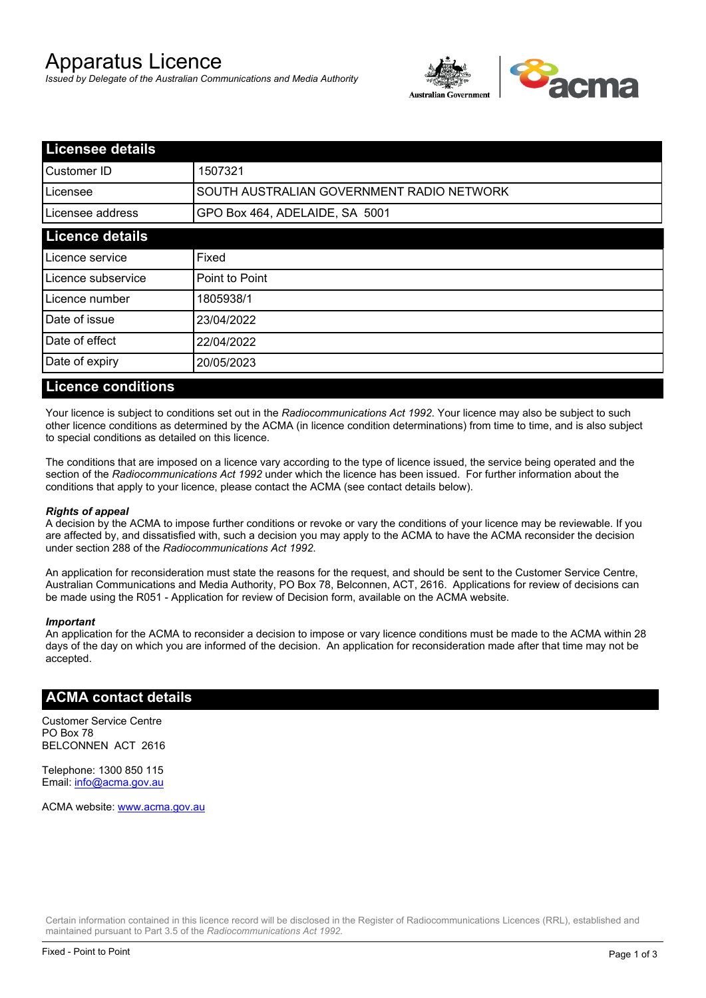# Apparatus Licence

*Issued by Delegate of the Australian Communications and Media Authority*



| <b>Licensee details</b> |                                           |  |
|-------------------------|-------------------------------------------|--|
| lCustomer ID            | 1507321                                   |  |
| ILicensee               | SOUTH AUSTRALIAN GOVERNMENT RADIO NETWORK |  |
| Licensee address        | GPO Box 464, ADELAIDE, SA 5001            |  |
| <b>Licence details</b>  |                                           |  |
| Licence service         | Fixed                                     |  |
| Licence subservice      | Point to Point                            |  |
| Licence number          | 1805938/1                                 |  |
| Date of issue           | 23/04/2022                                |  |
| Date of effect          | 22/04/2022                                |  |
| Date of expiry          | 20/05/2023                                |  |
|                         |                                           |  |

### **Licence conditions**

Your licence is subject to conditions set out in the *Radiocommunications Act 1992*. Your licence may also be subject to such other licence conditions as determined by the ACMA (in licence condition determinations) from time to time, and is also subject to special conditions as detailed on this licence.

The conditions that are imposed on a licence vary according to the type of licence issued, the service being operated and the section of the *Radiocommunications Act 1992* under which the licence has been issued. For further information about the conditions that apply to your licence, please contact the ACMA (see contact details below).

#### *Rights of appeal*

A decision by the ACMA to impose further conditions or revoke or vary the conditions of your licence may be reviewable. If you are affected by, and dissatisfied with, such a decision you may apply to the ACMA to have the ACMA reconsider the decision under section 288 of the *Radiocommunications Act 1992*.

An application for reconsideration must state the reasons for the request, and should be sent to the Customer Service Centre, Australian Communications and Media Authority, PO Box 78, Belconnen, ACT, 2616. Applications for review of decisions can be made using the R051 - Application for review of Decision form, available on the ACMA website.

#### *Important*

An application for the ACMA to reconsider a decision to impose or vary licence conditions must be made to the ACMA within 28 days of the day on which you are informed of the decision. An application for reconsideration made after that time may not be accepted.

#### **ACMA contact details**

Customer Service Centre PO Box 78 BELCONNEN ACT 2616

Telephone: 1300 850 115 Email: info@acma.gov.au

ACMA website: www.acma.gov.au

Certain information contained in this licence record will be disclosed in the Register of Radiocommunications Licences (RRL), established and maintained pursuant to Part 3.5 of the *Radiocommunications Act 1992.*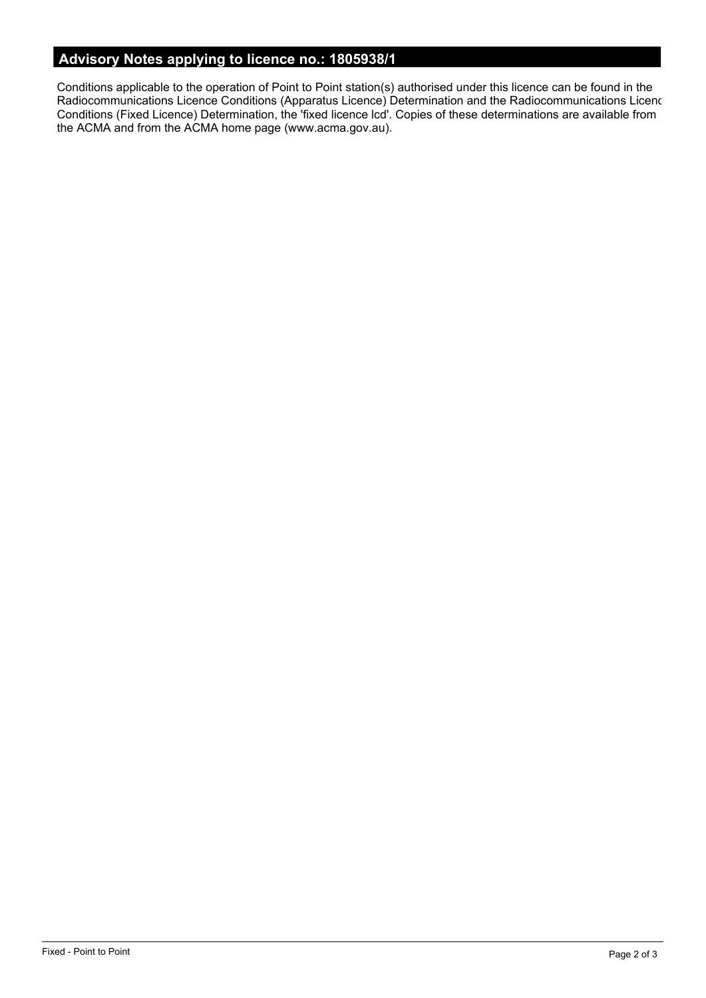# **Advisory Notes applying to licence no.: 1805938/1**

Conditions applicable to the operation of Point to Point station(s) authorised under this licence can be found in the Radiocommunications Licence Conditions (Apparatus Licence) Determination and the Radiocommunications Licence Conditions (Fixed Licence) Determination, the 'fixed licence lcd'. Copies of these determinations are available from the ACMA and from the ACMA home page (www.acma.gov.au).